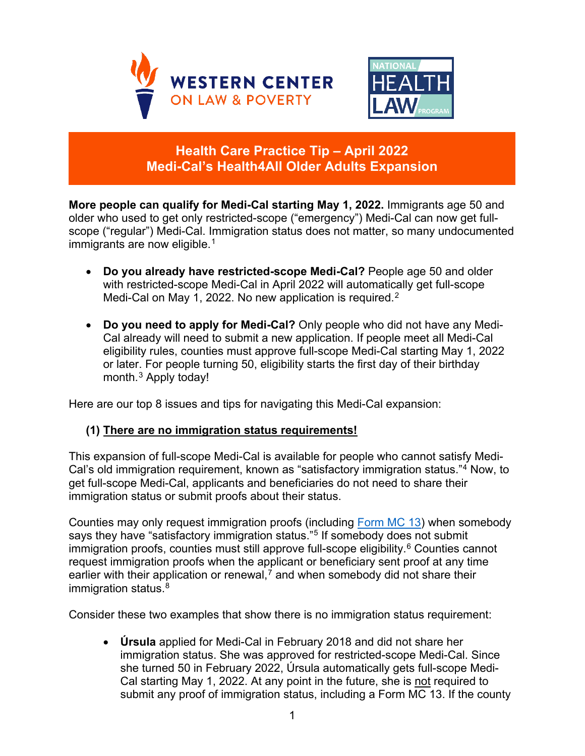



# **Health Care Practice Tip – April 2022 Medi-Cal's Health4All Older Adults Expansion**

**More people can qualify for Medi-Cal starting May 1, 2022.** Immigrants age 50 and older who used to get only restricted-scope ("emergency") Medi-Cal can now get fullscope ("regular") Medi-Cal. Immigration status does not matter, so many undocumented immigrants are now eligible.<sup>[1](#page-4-0)</sup>

- **Do you already have restricted-scope Medi-Cal?** People age 50 and older with restricted-scope Medi-Cal in April 2022 will automatically get full-scope Medi-Cal on May 1, [2](#page-4-1)022. No new application is required.<sup>2</sup>
- **Do you need to apply for Medi-Cal?** Only people who did not have any Medi-Cal already will need to submit a new application. If people meet all Medi-Cal eligibility rules, counties must approve full-scope Medi-Cal starting May 1, 2022 or later. For people turning 50, eligibility starts the first day of their birthday month. [3](#page-4-2) Apply today!

Here are our top 8 issues and tips for navigating this Medi-Cal expansion:

#### **(1) There are no immigration status requirements!**

This expansion of full-scope Medi-Cal is available for people who cannot satisfy Medi-Cal's old immigration requirement, known as "satisfactory immigration status."[4](#page-4-3) Now, to get full-scope Medi-Cal, applicants and beneficiaries do not need to share their immigration status or submit proofs about their status.

Counties may only request immigration proofs (including [Form MC 13\)](https://www.dhcs.ca.gov/formsandpubs/forms/Forms/mc13.pdf) when somebody says they have "satisfactory immigration status."[5](#page-4-4) If somebody does not submit immigration proofs, counties must still approve full-scope eligibility. $6$  Counties cannot request immigration proofs when the applicant or beneficiary sent proof at any time earlier with their application or renewal,<sup>[7](#page-4-6)</sup> and when somebody did not share their immigration status. [8](#page-4-7)

Consider these two examples that show there is no immigration status requirement:

• **Úrsula** applied for Medi-Cal in February 2018 and did not share her immigration status. She was approved for restricted-scope Medi-Cal. Since she turned 50 in February 2022, Úrsula automatically gets full-scope Medi-Cal starting May 1, 2022. At any point in the future, she is not required to submit any proof of immigration status, including a Form MC 13. If the county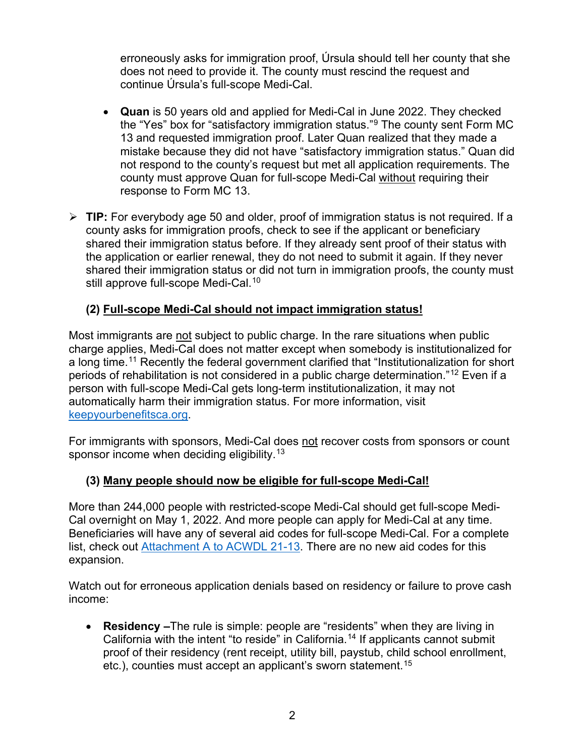erroneously asks for immigration proof, Úrsula should tell her county that she does not need to provide it. The county must rescind the request and continue Úrsula's full-scope Medi-Cal.

- **Quan** is 50 years old and applied for Medi-Cal in June 2022. They checked the "Yes" box for "satisfactory immigration status."[9](#page-4-8) The county sent Form MC 13 and requested immigration proof. Later Quan realized that they made a mistake because they did not have "satisfactory immigration status." Quan did not respond to the county's request but met all application requirements. The county must approve Quan for full-scope Medi-Cal without requiring their response to Form MC 13.
- **TIP:** For everybody age 50 and older, proof of immigration status is not required. If a county asks for immigration proofs, check to see if the applicant or beneficiary shared their immigration status before. If they already sent proof of their status with the application or earlier renewal, they do not need to submit it again. If they never shared their immigration status or did not turn in immigration proofs, the county must still approve full-scope Medi-Cal.<sup>[10](#page-4-9)</sup>

## **(2) Full-scope Medi-Cal should not impact immigration status!**

Most immigrants are not subject to public charge. In the rare situations when public charge applies, Medi-Cal does not matter except when somebody is institutionalized for a long time.<sup>[11](#page-4-10)</sup> Recently the federal government clarified that "Institutionalization for short periods of rehabilitation is not considered in a public charge determination."[12](#page-4-11) Even if a person with full-scope Medi-Cal gets long-term institutionalization, it may not automatically harm their immigration status. For more information, visit [keepyourbenefitsca.org.](https://keepyourbenefits.org/en/ca/)

For immigrants with sponsors, Medi-Cal does not recover costs from sponsors or count sponsor income when deciding eligibility.<sup>[13](#page-4-12)</sup>

#### **(3) Many people should now be eligible for full-scope Medi-Cal!**

More than 244,000 people with restricted-scope Medi-Cal should get full-scope Medi-Cal overnight on May 1, 2022. And more people can apply for Medi-Cal at any time. Beneficiaries will have any of several aid codes for full-scope Medi-Cal. For a complete list, check out [Attachment A to ACWDL 21-13.](https://www.dhcs.ca.gov/services/medi-cal/eligibility/letters/Documents/21-13.pdf) There are no new aid codes for this expansion.

Watch out for erroneous application denials based on residency or failure to prove cash income:

• **Residency –**The rule is simple: people are "residents" when they are living in California with the intent "to reside" in California.<sup>[14](#page-4-13)</sup> If applicants cannot submit proof of their residency (rent receipt, utility bill, paystub, child school enrollment, etc.), counties must accept an applicant's sworn statement.<sup>[15](#page-4-14)</sup>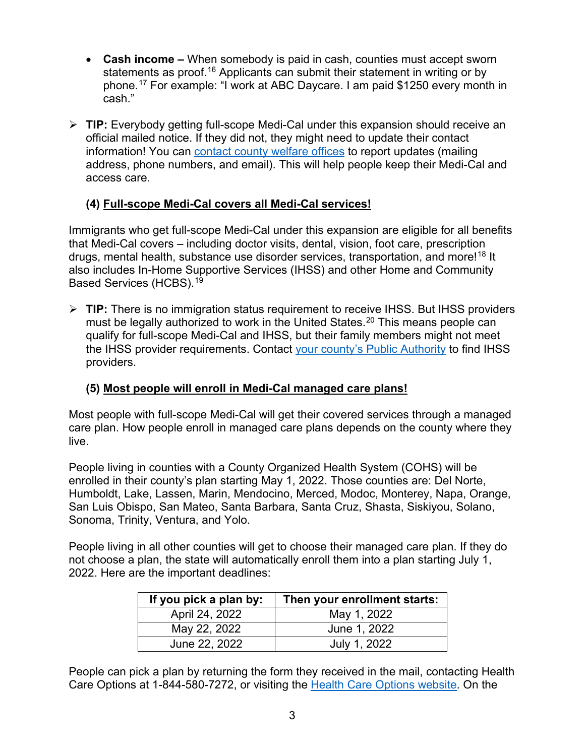- **Cash income –** When somebody is paid in cash, counties must accept sworn statements as proof.<sup>[16](#page-4-15)</sup> Applicants can submit their statement in writing or by phone.[17](#page-4-16) For example: "I work at ABC Daycare. I am paid \$1250 every month in cash."
- **TIP:** Everybody getting full-scope Medi-Cal under this expansion should receive an official mailed notice. If they did not, they might need to update their contact information! You can contact [county welfare offices](http://dhcs.ca.gov/COL) to report updates (mailing address, phone numbers, and email). This will help people keep their Medi-Cal and access care.

## **(4) Full-scope Medi-Cal covers all Medi-Cal services!**

Immigrants who get full-scope Medi-Cal under this expansion are eligible for all benefits that Medi-Cal covers – including doctor visits, dental, vision, foot care, prescription drugs, mental health, substance use disorder services, transportation, and more! [18](#page-4-17) It also includes In-Home Supportive Services (IHSS) and other Home and Community Based Services (HCBS).[19](#page-5-0)

 **TIP:** There is no immigration status requirement to receive IHSS. But IHSS providers must be legally authorized to work in the United States.<sup>[20](#page-5-1)</sup> This means people can qualify for full-scope Medi-Cal and IHSS, but their family members might not meet the IHSS provider requirements. Contact [your county's Public Authority](https://capaihss.org/contact-us/contact-ihss-in-your-county/) to find IHSS providers.

#### **(5) Most people will enroll in Medi-Cal managed care plans!**

Most people with full-scope Medi-Cal will get their covered services through a managed care plan. How people enroll in managed care plans depends on the county where they live.

People living in counties with a County Organized Health System (COHS) will be enrolled in their county's plan starting May 1, 2022. Those counties are: Del Norte, Humboldt, Lake, Lassen, Marin, Mendocino, Merced, Modoc, Monterey, Napa, Orange, San Luis Obispo, San Mateo, Santa Barbara, Santa Cruz, Shasta, Siskiyou, Solano, Sonoma, Trinity, Ventura, and Yolo.

People living in all other counties will get to choose their managed care plan. If they do not choose a plan, the state will automatically enroll them into a plan starting July 1, 2022. Here are the important deadlines:

| If you pick a plan by: | Then your enrollment starts: |
|------------------------|------------------------------|
| April 24, 2022         | May 1, 2022                  |
| May 22, 2022           | June 1, 2022                 |
| June 22, 2022          | July 1, 2022                 |

People can pick a plan by returning the form they received in the mail, contacting Health Care Options at 1-844-580-7272, or visiting the [Health Care Options website.](https://www.healthcareoptions.dhcs.ca.gov/enroll) On the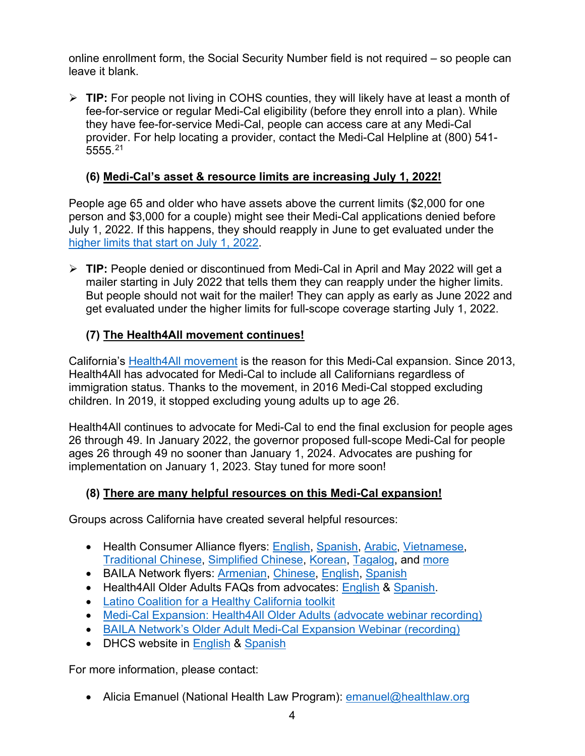online enrollment form, the Social Security Number field is not required – so people can leave it blank.

 **TIP:** For people not living in COHS counties, they will likely have at least a month of fee-for-service or regular Medi-Cal eligibility (before they enroll into a plan). While they have fee-for-service Medi-Cal, people can access care at any Medi-Cal provider. For help locating a provider, contact the Medi-Cal Helpline at (800) 541- 5555.[21](#page-5-2)

# **(6) Medi-Cal's asset & resource limits are increasing July 1, 2022!**

People age 65 and older who have assets above the current limits (\$2,000 for one person and \$3,000 for a couple) might see their Medi-Cal applications denied before July 1, 2022. If this happens, they should reapply in June to get evaluated under the higher limits [that start on July 1, 2022.](https://www.dhcs.ca.gov/services/medi-cal/eligibility/Pages/Asset-Limit-Changes-for-Non-MAGI-Medi-Cal.aspx)

 **TIP:** People denied or discontinued from Medi-Cal in April and May 2022 will get a mailer starting in July 2022 that tells them they can reapply under the higher limits. But people should not wait for the mailer! They can apply as early as June 2022 and get evaluated under the higher limits for full-scope coverage starting July 1, 2022.

# **(7) The Health4All movement continues!**

California's [Health4All movement](https://caimmigrant.org/what-we-do/policy/health-public-benefits/health4all-bill/) is the reason for this Medi-Cal expansion. Since 2013, Health4All has advocated for Medi-Cal to include all Californians regardless of immigration status. Thanks to the movement, in 2016 Medi-Cal stopped excluding children. In 2019, it stopped excluding young adults up to age 26.

Health4All continues to advocate for Medi-Cal to end the final exclusion for people ages 26 through 49. In January 2022, the governor proposed full-scope Medi-Cal for people ages 26 through 49 no sooner than January 1, 2024. Advocates are pushing for implementation on January 1, 2023. Stay tuned for more soon!

## **(8) There are many helpful resources on this Medi-Cal expansion!**

Groups across California have created several helpful resources:

- Health Consumer Alliance flyers: [English,](https://healthconsumer.org/wp/wp-content/uploads/2022/03/HCA-Health4All-Older-Adults-WORD-FINAL-3.2.22.pdf) [Spanish,](https://healthconsumer.org/wp/wp-content/uploads/2022/03/HCA-Health4All-Older-Adults-WORD-FINAL-3.2.22_Spanish.pdf) [Arabic,](https://healthconsumer.org/wp/wp-content/uploads/2022/03/HCA-Health4All-Older-Adults-WORD-FINAL-3.2.22_Arabic.pdf) [Vietnamese,](https://healthconsumer.org/wp/wp-content/uploads/2022/03/HCA-Health4All-Older-Adults-WORD-FINAL-3.2.22_Vietnamese.pdf) [Traditional Chinese,](https://healthconsumer.org/wp/wp-content/uploads/2022/03/HCA-Health4All-Older-Adults-WORD-FINAL-3.2.22_Chinese-Traditional.pdf) [Simplified Chinese,](https://healthconsumer.org/wp/wp-content/uploads/2022/03/HCA-Health4All-Older-Adults-WORD-FINAL-3.2.22_Simplified-Chinese.pdf) [Korean,](https://healthconsumer.org/wp/wp-content/uploads/2022/03/HCA-Health4All-Older-Adults-WORD-FINAL-3.2.22_Korean.pdf) [Tagalog,](https://healthconsumer.org/wp/wp-content/uploads/2022/03/HCA-Health4All-Older-Adults-WORD-FINAL-3.2.22_Tagalog.pdf) and [more](https://healthconsumer.org/your_rights/)
- BAILA Network flyers: [Armenian,](https://healthconsumer.org/wp/wp-content/uploads/2022/04/Final-MC-OAE-Info.-Flyer-Armenian.pdf) [Chinese,](https://healthconsumer.org/wp/wp-content/uploads/2022/04/Final-MC-OAE-Info.-Flyer-Chinese.pdf) [English,](https://healthconsumer.org/wp/wp-content/uploads/2022/04/Final-MC-OAE-Info.-Flyer-English.pdf) [Spanish](https://healthconsumer.org/wp/wp-content/uploads/2022/04/Final-MC-OAE-Flyer-Spanish.pdf)
- Health4All Older Adults FAQs from advocates: [English](http://caimmigrant.org/wp-content/uploads/2022/02/H4A-OAE-FAQ-EN.pdf) & [Spanish.](https://caimmigrant.org/wp-content/uploads/2022/02/H4A-OAE-FAQ-SP.pdf)
- [Latino Coalition for a Healthy California toolkit](https://www.lchc.org/2022/03/24/get-informed-about-the-health4all-older-adults-expansion-starting-may-2022-download-our-toolkit/)
- [Medi-Cal Expansion: Health4All Older Adults \(advocate webinar recording\)](https://healthlaw.org/resource/webinar-medi-cal-expansion-health4all-older-adults/)
- [BAILA Network's Older Adult Medi-Cal Expansion Webinar \(recording\)](https://drive.google.com/file/d/1XaXQ6krMYS5TF8gq-FKJyebTi60ZQms3/view?usp=sharing)
- DHCS website in [English](https://www.dhcs.ca.gov/services/medi-cal/eligibility/Pages/OlderAdultExpansion.aspx) & [Spanish](https://www.dhcs.ca.gov/services/medi-cal/eligibility/Pages/OlderAdultExpansion-SP.aspx)

For more information, please contact:

• Alicia Emanuel (National Health Law Program): **emanuel@healthlaw.org**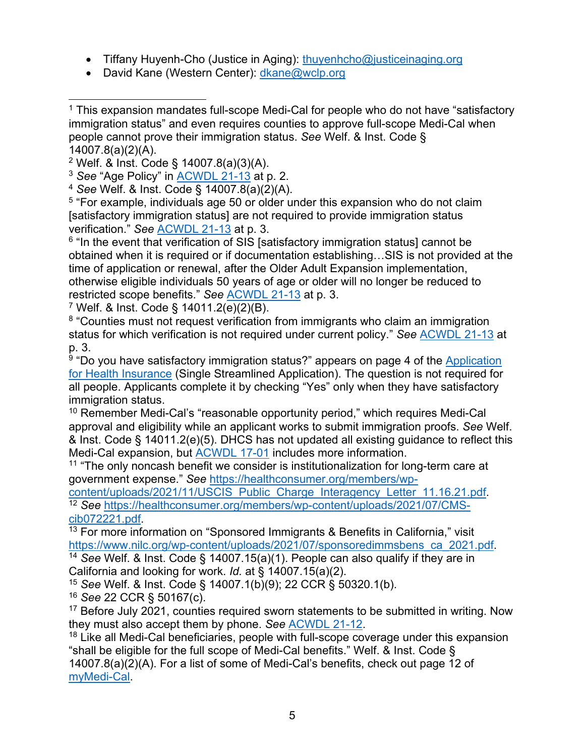- Tiffany Huyenh-Cho (Justice in Aging): [thuyenhcho@justiceinaging.org](mailto:thuyenhcho@justiceinaging.org)
- David Kane (Western Center): [dkane@wclp.org](mailto:dkane@wclp.org)

<span id="page-4-4"></span><sup>5</sup> "For example, individuals age 50 or older under this expansion who do not claim [satisfactory immigration status] are not required to provide immigration status verification." *See* [ACWDL 21-13](https://www.dhcs.ca.gov/services/medi-cal/eligibility/letters/Documents/21-13.pdf) at p. 3.

<span id="page-4-5"></span><sup>6</sup> "In the event that verification of SIS [satisfactory immigration status] cannot be obtained when it is required or if documentation establishing…SIS is not provided at the time of application or renewal, after the Older Adult Expansion implementation, otherwise eligible individuals 50 years of age or older will no longer be reduced to restricted scope benefits." *See* [ACWDL 21-13](https://www.dhcs.ca.gov/services/medi-cal/eligibility/letters/Documents/21-13.pdf) at p. 3.

<span id="page-4-6"></span><sup>7</sup> Welf. & Inst. Code § 14011.2(e)(2)(B).

<span id="page-4-7"></span><sup>8</sup> "Counties must not request verification from immigrants who claim an immigration status for which verification is not required under current policy." *See* [ACWDL 21-13](https://www.dhcs.ca.gov/services/medi-cal/eligibility/letters/Documents/21-13.pdf) at p. 3.

<span id="page-4-8"></span><sup>9</sup> "Do vou have satisfactory immigration status?" appears on page 4 of the Application [for Health Insurance](https://www.dhcs.ca.gov/services/medi-cal/eligibility/Pages/SingleStreamApps.aspx) (Single Streamlined Application). The question is not required for all people. Applicants complete it by checking "Yes" only when they have satisfactory immigration status.

<span id="page-4-9"></span><sup>10</sup> Remember Medi-Cal's "reasonable opportunity period," which requires Medi-Cal approval and eligibility while an applicant works to submit immigration proofs. *See* Welf. & Inst. Code § 14011.2(e)(5). DHCS has not updated all existing guidance to reflect this Medi-Cal expansion, but [ACWDL 17-01](https://www.dhcs.ca.gov/services/medi-cal/eligibility/letters/Documents/c17-01.pdf) includes more information.

<span id="page-4-10"></span> $11$  "The only noncash benefit we consider is institutionalization for long-term care at government expense." *See* [https://healthconsumer.org/members/wp-](https://healthconsumer.org/members/wp-content/uploads/2021/11/USCIS_Public_Charge_Interagency_Letter_11.16.21.pdf)

<span id="page-4-11"></span>[content/uploads/2021/11/USCIS\\_Public\\_Charge\\_Interagency\\_Letter\\_11.16.21.pdf.](https://healthconsumer.org/members/wp-content/uploads/2021/11/USCIS_Public_Charge_Interagency_Letter_11.16.21.pdf) 12 *See* [https://healthconsumer.org/members/wp-content/uploads/2021/07/CMS](https://healthconsumer.org/members/wp-content/uploads/2021/07/CMS-cib072221.pdf)[cib072221.pdf.](https://healthconsumer.org/members/wp-content/uploads/2021/07/CMS-cib072221.pdf)

<span id="page-4-12"></span><sup>13</sup> For more information on "Sponsored Immigrants & Benefits in California," visit [https://www.nilc.org/wp-content/uploads/2021/07/sponsoredimmsbens\\_ca\\_2021.pdf.](https://www.nilc.org/wp-content/uploads/2021/07/sponsoredimmsbens_ca_2021.pdf) 14 *See* Welf. & Inst. Code § 14007.15(a)(1). People can also qualify if they are in

<span id="page-4-13"></span>California and looking for work. *Id.* at § 14007.15(a)(2).

<span id="page-4-14"></span><sup>15</sup> *See* Welf. & Inst. Code § 14007.1(b)(9); 22 CCR § 50320.1(b).

<span id="page-4-15"></span><sup>16</sup> *See* 22 CCR § 50167(c).

<span id="page-4-16"></span><sup>17</sup> Before July 2021, counties required sworn statements to be submitted in writing. Now they must also accept them by phone. *See* [ACWDL 21-12.](https://www.dhcs.ca.gov/services/medi-cal/eligibility/letters/Documents/21-12.pdf)

<span id="page-4-17"></span><sup>18</sup> Like all Medi-Cal beneficiaries, people with full-scope coverage under this expansion "shall be eligible for the full scope of Medi-Cal benefits." Welf. & Inst. Code § 14007.8(a)(2)(A). For a list of some of Medi-Cal's benefits, check out page 12 of [myMedi-Cal.](https://www.dhcs.ca.gov/Pages/myMedi-Cal.aspx)

<span id="page-4-0"></span> $1$  This expansion mandates full-scope Medi-Cal for people who do not have "satisfactory immigration status" and even requires counties to approve full-scope Medi-Cal when people cannot prove their immigration status. *See* Welf. & Inst. Code § 14007.8(a)(2)(A).

<span id="page-4-1"></span><sup>2</sup> Welf. & Inst. Code § 14007.8(a)(3)(A).

<span id="page-4-2"></span><sup>3</sup> *See* "Age Policy" in [ACWDL 21-13](https://www.dhcs.ca.gov/services/medi-cal/eligibility/letters/Documents/21-13.pdf) at p. 2.

<span id="page-4-3"></span><sup>4</sup> *See* Welf. & Inst. Code § 14007.8(a)(2)(A).